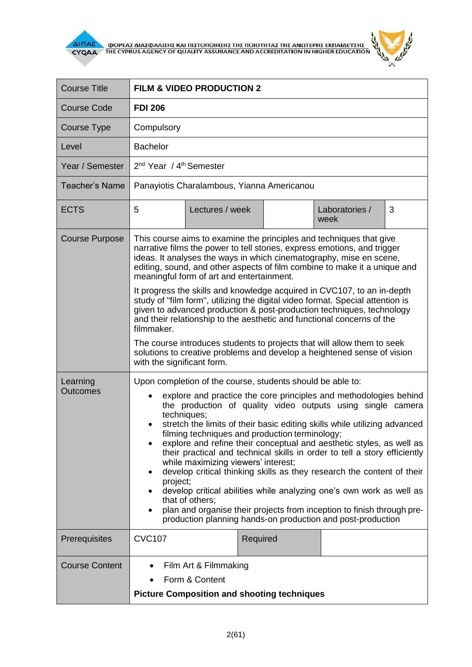

 $\overline{\Delta}$  (ΠΑΕ<br>CYQAA THE CYPRUS AGENCY OF QUALITY ASSURANCE AND ACCREDITATION IN HIGHER EDUCATION



| <b>Course Title</b>         | FILM & VIDEO PRODUCTION 2                                                                                                                                                                                                                                                                                                                                                                                                                                                                                                                                                                                                                                                                                                                                                                                                                                                                              |                 |          |  |                        |   |
|-----------------------------|--------------------------------------------------------------------------------------------------------------------------------------------------------------------------------------------------------------------------------------------------------------------------------------------------------------------------------------------------------------------------------------------------------------------------------------------------------------------------------------------------------------------------------------------------------------------------------------------------------------------------------------------------------------------------------------------------------------------------------------------------------------------------------------------------------------------------------------------------------------------------------------------------------|-----------------|----------|--|------------------------|---|
| <b>Course Code</b>          | <b>FDI 206</b>                                                                                                                                                                                                                                                                                                                                                                                                                                                                                                                                                                                                                                                                                                                                                                                                                                                                                         |                 |          |  |                        |   |
| Course Type                 | Compulsory                                                                                                                                                                                                                                                                                                                                                                                                                                                                                                                                                                                                                                                                                                                                                                                                                                                                                             |                 |          |  |                        |   |
| Level                       | <b>Bachelor</b>                                                                                                                                                                                                                                                                                                                                                                                                                                                                                                                                                                                                                                                                                                                                                                                                                                                                                        |                 |          |  |                        |   |
| Year / Semester             | 2 <sup>nd</sup> Year / 4 <sup>th</sup> Semester                                                                                                                                                                                                                                                                                                                                                                                                                                                                                                                                                                                                                                                                                                                                                                                                                                                        |                 |          |  |                        |   |
| <b>Teacher's Name</b>       | Panayiotis Charalambous, Yianna Americanou                                                                                                                                                                                                                                                                                                                                                                                                                                                                                                                                                                                                                                                                                                                                                                                                                                                             |                 |          |  |                        |   |
| <b>ECTS</b>                 | 5                                                                                                                                                                                                                                                                                                                                                                                                                                                                                                                                                                                                                                                                                                                                                                                                                                                                                                      | Lectures / week |          |  | Laboratories /<br>week | 3 |
| <b>Course Purpose</b>       | This course aims to examine the principles and techniques that give<br>narrative films the power to tell stories, express emotions, and trigger<br>ideas. It analyses the ways in which cinematography, mise en scene,<br>editing, sound, and other aspects of film combine to make it a unique and<br>meaningful form of art and entertainment.                                                                                                                                                                                                                                                                                                                                                                                                                                                                                                                                                       |                 |          |  |                        |   |
|                             | It progress the skills and knowledge acquired in CVC107, to an in-depth<br>study of "film form", utilizing the digital video format. Special attention is<br>given to advanced production & post-production techniques, technology<br>and their relationship to the aesthetic and functional concerns of the<br>filmmaker.<br>The course introduces students to projects that will allow them to seek<br>solutions to creative problems and develop a heightened sense of vision<br>with the significant form.                                                                                                                                                                                                                                                                                                                                                                                         |                 |          |  |                        |   |
|                             |                                                                                                                                                                                                                                                                                                                                                                                                                                                                                                                                                                                                                                                                                                                                                                                                                                                                                                        |                 |          |  |                        |   |
| Learning<br><b>Outcomes</b> | Upon completion of the course, students should be able to:<br>explore and practice the core principles and methodologies behind<br>$\bullet$<br>the production of quality video outputs using single camera<br>techniques;<br>stretch the limits of their basic editing skills while utilizing advanced<br>$\bullet$<br>filming techniques and production terminology;<br>explore and refine their conceptual and aesthetic styles, as well as<br>their practical and technical skills in order to tell a story efficiently<br>while maximizing viewers' interest;<br>develop critical thinking skills as they research the content of their<br>٠<br>project;<br>develop critical abilities while analyzing one's own work as well as<br>that of others:<br>plan and organise their projects from inception to finish through pre-<br>٠<br>production planning hands-on production and post-production |                 |          |  |                        |   |
| Prerequisites               | <b>CVC107</b>                                                                                                                                                                                                                                                                                                                                                                                                                                                                                                                                                                                                                                                                                                                                                                                                                                                                                          |                 | Required |  |                        |   |
| <b>Course Content</b>       | Film Art & Filmmaking<br>Form & Content<br><b>Picture Composition and shooting techniques</b>                                                                                                                                                                                                                                                                                                                                                                                                                                                                                                                                                                                                                                                                                                                                                                                                          |                 |          |  |                        |   |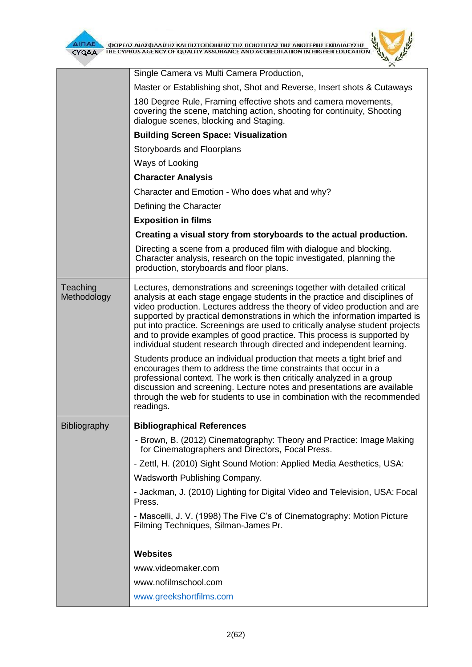

| ΦΟΡΕΑΣ ΔΙΑΣΦΑΛΙΣΗΣ ΚΑΙ ΠΙΣΤΟΠΟΙΗΣΗΣ ΤΗΣ ΠΟΙΟΤΗΤΑΣ ΤΗΣ ΑΝΩΤΕΡΗΣ ΕΚΠΑΙΔΕΥΣΗΣ<br>THE CYPRUS AGENCY OF QUALITY ASSURANCE AND ACCREDITATION IN HIGHER EDUCATION<br>CYQAA<br>× |                                                                                                                                                                                                                                                                                                                                                                                                                                                                                                                                                                                                                                                                                                   |  |  |  |  |
|--------------------------------------------------------------------------------------------------------------------------------------------------------------------------|---------------------------------------------------------------------------------------------------------------------------------------------------------------------------------------------------------------------------------------------------------------------------------------------------------------------------------------------------------------------------------------------------------------------------------------------------------------------------------------------------------------------------------------------------------------------------------------------------------------------------------------------------------------------------------------------------|--|--|--|--|
|                                                                                                                                                                          | Single Camera vs Multi Camera Production,                                                                                                                                                                                                                                                                                                                                                                                                                                                                                                                                                                                                                                                         |  |  |  |  |
|                                                                                                                                                                          | Master or Establishing shot, Shot and Reverse, Insert shots & Cutaways                                                                                                                                                                                                                                                                                                                                                                                                                                                                                                                                                                                                                            |  |  |  |  |
|                                                                                                                                                                          | 180 Degree Rule, Framing effective shots and camera movements,<br>covering the scene, matching action, shooting for continuity, Shooting<br>dialogue scenes, blocking and Staging.                                                                                                                                                                                                                                                                                                                                                                                                                                                                                                                |  |  |  |  |
|                                                                                                                                                                          | <b>Building Screen Space: Visualization</b>                                                                                                                                                                                                                                                                                                                                                                                                                                                                                                                                                                                                                                                       |  |  |  |  |
|                                                                                                                                                                          | Storyboards and Floorplans                                                                                                                                                                                                                                                                                                                                                                                                                                                                                                                                                                                                                                                                        |  |  |  |  |
|                                                                                                                                                                          | Ways of Looking                                                                                                                                                                                                                                                                                                                                                                                                                                                                                                                                                                                                                                                                                   |  |  |  |  |
|                                                                                                                                                                          | <b>Character Analysis</b>                                                                                                                                                                                                                                                                                                                                                                                                                                                                                                                                                                                                                                                                         |  |  |  |  |
|                                                                                                                                                                          | Character and Emotion - Who does what and why?                                                                                                                                                                                                                                                                                                                                                                                                                                                                                                                                                                                                                                                    |  |  |  |  |
|                                                                                                                                                                          | Defining the Character                                                                                                                                                                                                                                                                                                                                                                                                                                                                                                                                                                                                                                                                            |  |  |  |  |
|                                                                                                                                                                          | <b>Exposition in films</b>                                                                                                                                                                                                                                                                                                                                                                                                                                                                                                                                                                                                                                                                        |  |  |  |  |
|                                                                                                                                                                          | Creating a visual story from storyboards to the actual production.                                                                                                                                                                                                                                                                                                                                                                                                                                                                                                                                                                                                                                |  |  |  |  |
|                                                                                                                                                                          | Directing a scene from a produced film with dialogue and blocking.<br>Character analysis, research on the topic investigated, planning the<br>production, storyboards and floor plans.                                                                                                                                                                                                                                                                                                                                                                                                                                                                                                            |  |  |  |  |
| Teaching<br>Methodology                                                                                                                                                  | Lectures, demonstrations and screenings together with detailed critical<br>analysis at each stage engage students in the practice and disciplines of<br>video production. Lectures address the theory of video production and are<br>supported by practical demonstrations in which the information imparted is<br>put into practice. Screenings are used to critically analyse student projects<br>and to provide examples of good practice. This process is supported by<br>individual student research through directed and independent learning.<br>Students produce an individual production that meets a tight brief and<br>encourages them to address the time constraints that occur in a |  |  |  |  |
|                                                                                                                                                                          | professional context. The work is then critically analyzed in a group<br>discussion and screening. Lecture notes and presentations are available<br>through the web for students to use in combination with the recommended<br>readings.                                                                                                                                                                                                                                                                                                                                                                                                                                                          |  |  |  |  |
| Bibliography                                                                                                                                                             | <b>Bibliographical References</b>                                                                                                                                                                                                                                                                                                                                                                                                                                                                                                                                                                                                                                                                 |  |  |  |  |
|                                                                                                                                                                          | - Brown, B. (2012) Cinematography: Theory and Practice: Image Making<br>for Cinematographers and Directors, Focal Press.                                                                                                                                                                                                                                                                                                                                                                                                                                                                                                                                                                          |  |  |  |  |
|                                                                                                                                                                          | - Zettl, H. (2010) Sight Sound Motion: Applied Media Aesthetics, USA:                                                                                                                                                                                                                                                                                                                                                                                                                                                                                                                                                                                                                             |  |  |  |  |
|                                                                                                                                                                          | Wadsworth Publishing Company.                                                                                                                                                                                                                                                                                                                                                                                                                                                                                                                                                                                                                                                                     |  |  |  |  |
|                                                                                                                                                                          | - Jackman, J. (2010) Lighting for Digital Video and Television, USA: Focal<br>Press.                                                                                                                                                                                                                                                                                                                                                                                                                                                                                                                                                                                                              |  |  |  |  |
|                                                                                                                                                                          | - Mascelli, J. V. (1998) The Five C's of Cinematography: Motion Picture<br>Filming Techniques, Silman-James Pr.                                                                                                                                                                                                                                                                                                                                                                                                                                                                                                                                                                                   |  |  |  |  |
|                                                                                                                                                                          | <b>Websites</b>                                                                                                                                                                                                                                                                                                                                                                                                                                                                                                                                                                                                                                                                                   |  |  |  |  |
|                                                                                                                                                                          | www.videomaker.com                                                                                                                                                                                                                                                                                                                                                                                                                                                                                                                                                                                                                                                                                |  |  |  |  |
|                                                                                                                                                                          | www.nofilmschool.com                                                                                                                                                                                                                                                                                                                                                                                                                                                                                                                                                                                                                                                                              |  |  |  |  |
|                                                                                                                                                                          | www.greekshortfilms.com                                                                                                                                                                                                                                                                                                                                                                                                                                                                                                                                                                                                                                                                           |  |  |  |  |